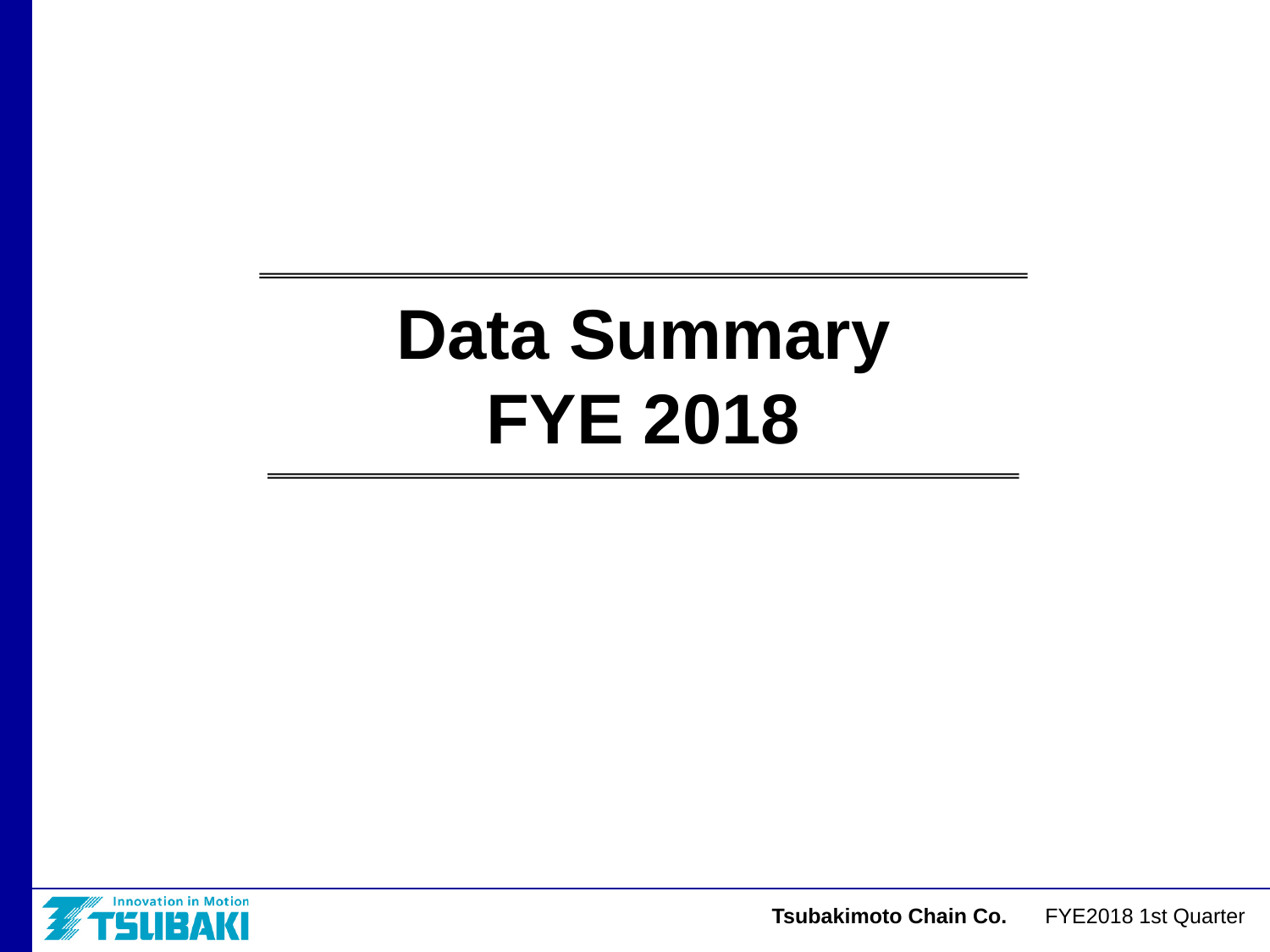# **Data Summary FYE 2018**



**Tsubakimoto Chain Co.** FYE2018 1st Quarter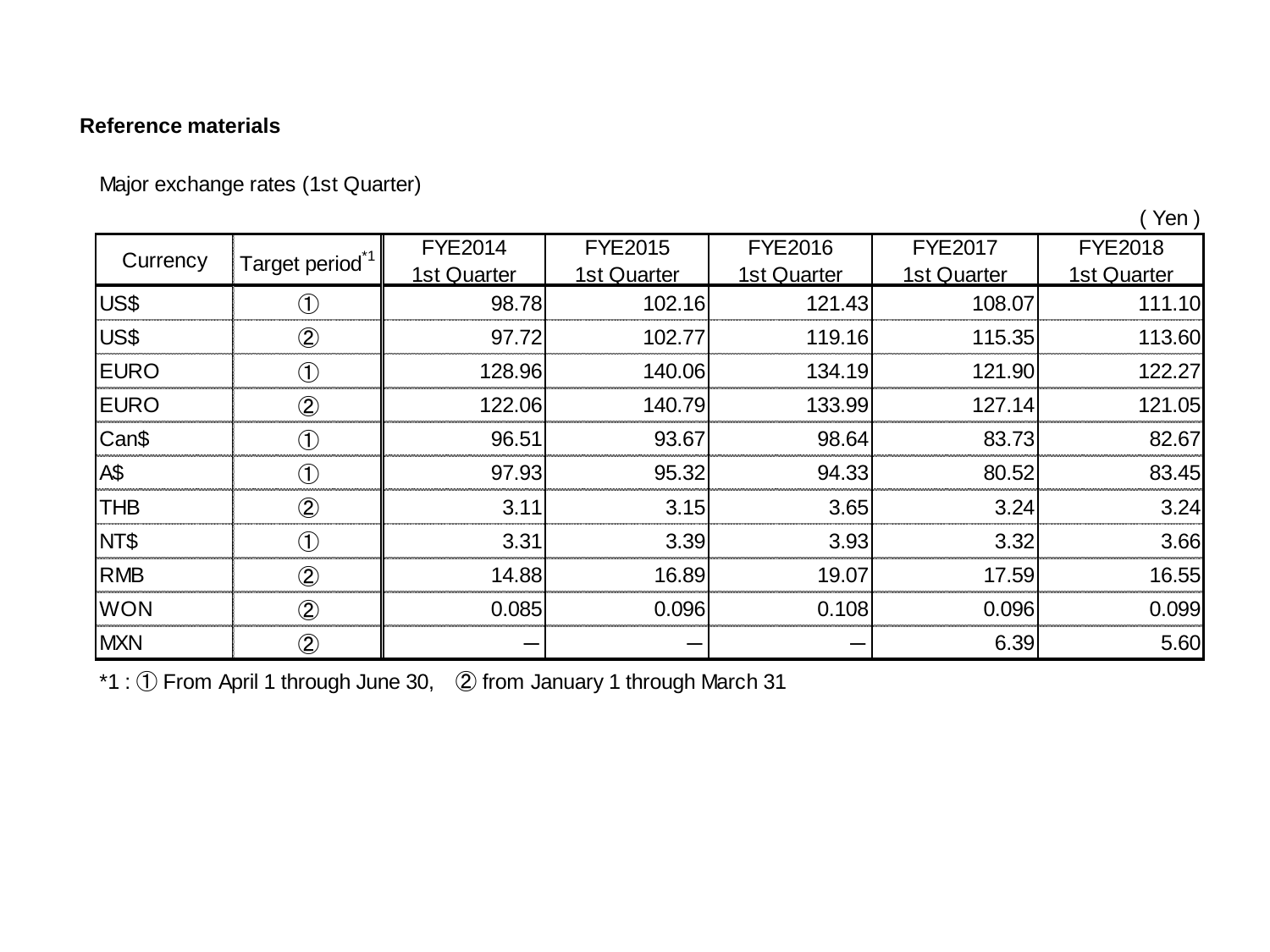#### **Reference materials**

Major exchange rates (1st Quarter)

( Yen )

| Currency    |                             | <b>FYE2014</b> | <b>FYE2015</b> | <b>FYE2016</b> | <b>FYE2017</b> | <b>FYE2018</b> |  |
|-------------|-----------------------------|----------------|----------------|----------------|----------------|----------------|--|
|             | Target period <sup>*1</sup> | 1st Quarter    | 1st Quarter    | 1st Quarter    | 1st Quarter    | 1st Quarter    |  |
| US\$        |                             | 98.78          | 102.16         | 121.43         | 108.07         | 111.10         |  |
| US\$        | $^\copyright$               | 97.72          | 102.77         | 119.16         | 115.35         | 113.60         |  |
| <b>EURO</b> | $\circled{\textsf{T}}$      | 128.96         | 140.06         | 134.19         | 121.90         | 122.27         |  |
| <b>EURO</b> | $^\copyright$               | 122.06         | 140.79         | 133.99         | 127.14         | 121.05         |  |
| Can\$       | $\circled{\textsf{T}}$      | 96.51          | 93.67          | 98.64          | 83.73          | 82.67          |  |
| A\$         | $\circled{\textsf{T}}$      | 97.93          | 95.32          | 94.33          | 80.52          | 83.45          |  |
| <b>THB</b>  | $\circled{2}$               | 3.11           | 3.15           | 3.65           | 3.24           | 3.24           |  |
| NT\$        | $\circled{\textsf{T}}$      | 3.31           | 3.39           | 3.93           | 3.32           | 3.66           |  |
| <b>RMB</b>  | $\circled{2}$               | 14.88          | 16.89          | 19.07          | 17.59          | 16.55          |  |
| <b>WON</b>  | $\circled{2}$               | 0.085          | 0.096          | 0.108          | 0.096          | 0.099          |  |
| <b>MXN</b>  | $^\copyright$               |                |                |                | 6.39           | 5.60           |  |

\*1 : ① From April 1 through June 30, ② from January 1 through March 31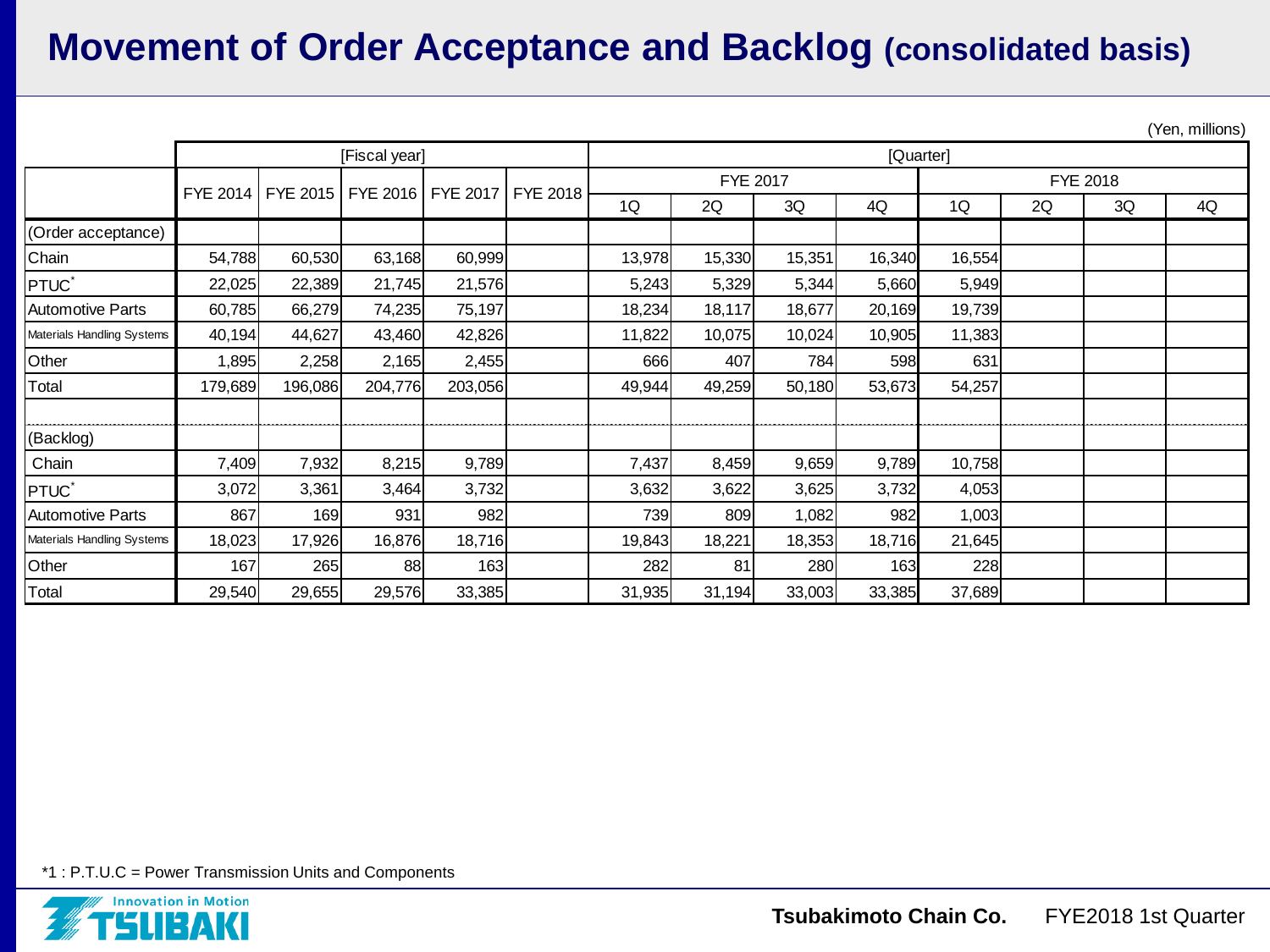### **Movement of Order Acceptance and Backlog (consolidated basis)**

(Yen, millions)

|                            |         |         | [Fiscal year] |                                           |          |        |                 |        | [Quarter] |          |    |    |    |  |  |
|----------------------------|---------|---------|---------------|-------------------------------------------|----------|--------|-----------------|--------|-----------|----------|----|----|----|--|--|
|                            |         |         |               | FYE 2014   FYE 2015   FYE 2016   FYE 2017 | FYE 2018 |        | <b>FYE 2017</b> |        |           | FYE 2018 |    |    |    |  |  |
|                            |         |         |               |                                           |          | 1Q     | 2Q              | 3Q     | 4Q        | 1Q       | 2Q | 3Q | 4Q |  |  |
| (Order acceptance)         |         |         |               |                                           |          |        |                 |        |           |          |    |    |    |  |  |
| Chain                      | 54,788  | 60,530  | 63,168        | 60,999                                    |          | 13,978 | 15,330          | 15,351 | 16,340    | 16,554   |    |    |    |  |  |
| PTUC <sup>*</sup>          | 22,025  | 22,389  | 21,745        | 21,576                                    |          | 5,243  | 5,329           | 5,344  | 5,660     | 5,949    |    |    |    |  |  |
| <b>Automotive Parts</b>    | 60,785  | 66,279  | 74,235        | 75,197                                    |          | 18,234 | 18,117          | 18,677 | 20,169    | 19,739   |    |    |    |  |  |
| Materials Handling Systems | 40,194  | 44,627  | 43,460        | 42,826                                    |          | 11,822 | 10,075          | 10,024 | 10,905    | 11,383   |    |    |    |  |  |
| Other                      | 1,895   | 2,258   | 2,165         | 2,455                                     |          | 666    | 407             | 784    | 598       | 631      |    |    |    |  |  |
| Total                      | 179,689 | 196,086 | 204,776       | 203,056                                   |          | 49,944 | 49,259          | 50,180 | 53,673    | 54,257   |    |    |    |  |  |
| (Backlog)                  |         |         |               |                                           |          |        |                 |        |           |          |    |    |    |  |  |
| Chain                      | 7,409   | 7,932   | 8,215         | 9,789                                     |          | 7,437  | 8,459           | 9,659  | 9,789     | 10,758   |    |    |    |  |  |
| PTUC <sup>*</sup>          | 3,072   | 3,361   | 3,464         | 3,732                                     |          | 3,632  | 3,622           | 3,625  | 3,732     | 4,053    |    |    |    |  |  |
| <b>Automotive Parts</b>    | 867     | 169     | 931           | 982                                       |          | 739    | 809             | 1,082  | 982       | 1,003    |    |    |    |  |  |
| Materials Handling Systems | 18,023  | 17,926  | 16,876        | 18,716                                    |          | 19,843 | 18,221          | 18,353 | 18,716    | 21,645   |    |    |    |  |  |
| Other                      | 167     | 265     | 88            | 163                                       |          | 282    | 81              | 280    | 163       | 228      |    |    |    |  |  |
| Total                      | 29,540  | 29,655  | 29,576        | 33,385                                    |          | 31,935 | 31,194          | 33,003 | 33,385    | 37,689   |    |    |    |  |  |

\*1 : P.T.U.C = Power Transmission Units and Components

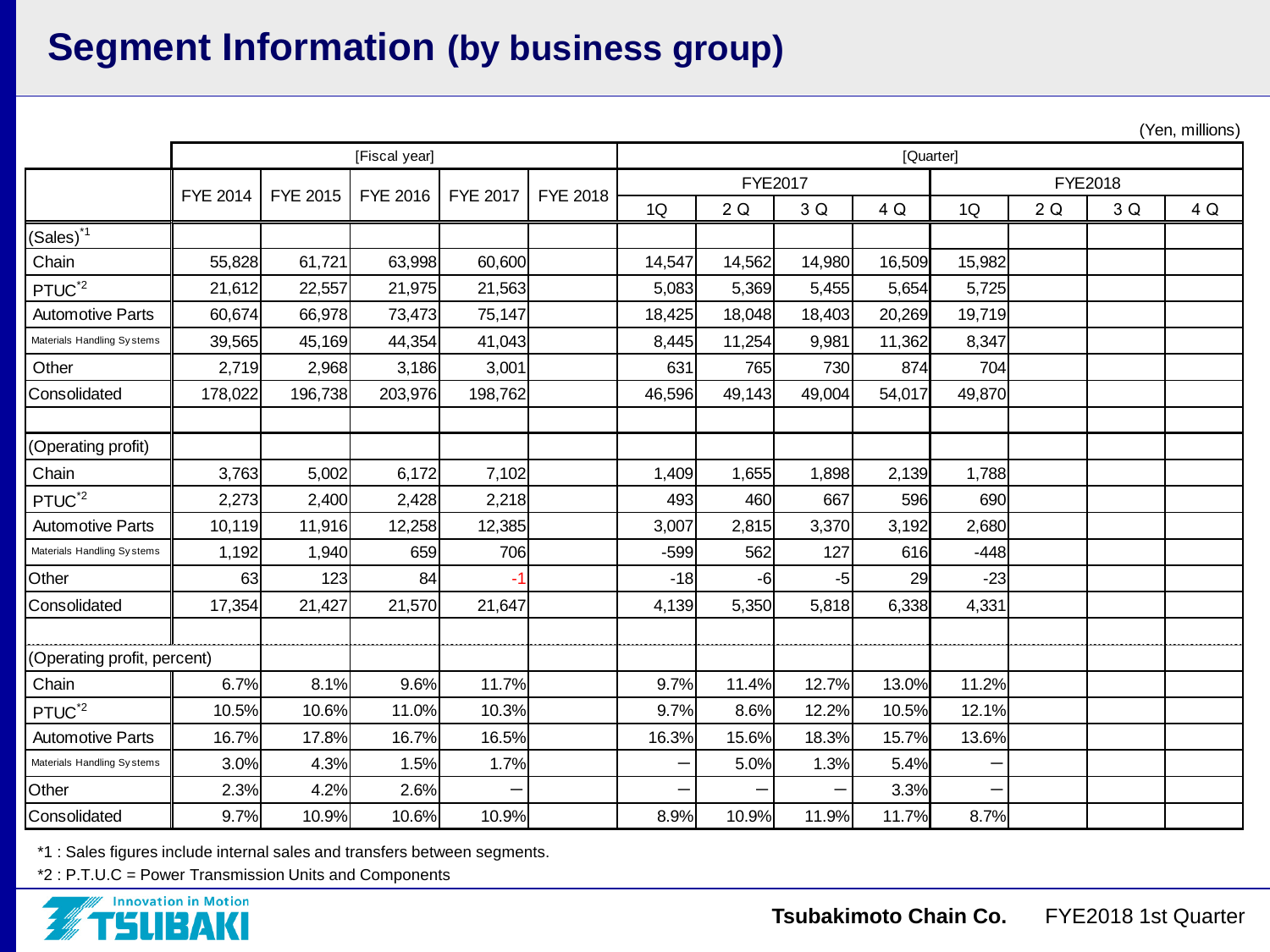### **Segment Information (by business group)**

(Yen, millions)

|                             |                      |         | [Fiscal year] |                 |          |        |                |        | [Quarter] |                |    |     |     |  |  |  |
|-----------------------------|----------------------|---------|---------------|-----------------|----------|--------|----------------|--------|-----------|----------------|----|-----|-----|--|--|--|
|                             | FYE 2014<br>FYE 2015 |         | FYE 2016      | <b>FYE 2017</b> | FYE 2018 |        | <b>FYE2017</b> |        |           | <b>FYE2018</b> |    |     |     |  |  |  |
|                             |                      |         |               |                 |          | 1Q     | 2 Q            | 3 Q    | 4 Q       | 1Q             | 2Q | 3 Q | 4 Q |  |  |  |
| $(Sales)^*$ <sup>1</sup>    |                      |         |               |                 |          |        |                |        |           |                |    |     |     |  |  |  |
| Chain                       | 55,828               | 61,721  | 63,998        | 60,600          |          | 14,547 | 14,562         | 14,980 | 16,509    | 15,982         |    |     |     |  |  |  |
| PTUC <sup>*2</sup>          | 21,612               | 22,557  | 21,975        | 21,563          |          | 5,083  | 5,369          | 5,455  | 5,654     | 5,725          |    |     |     |  |  |  |
| <b>Automotive Parts</b>     | 60,674               | 66,978  | 73,473        | 75,147          |          | 18,425 | 18,048         | 18,403 | 20,269    | 19,719         |    |     |     |  |  |  |
| Materials Handling Systems  | 39,565               | 45,169  | 44,354        | 41,043          |          | 8,445  | 11,254         | 9,981  | 11,362    | 8,347          |    |     |     |  |  |  |
| Other                       | 2,719                | 2,968   | 3,186         | 3,001           |          | 631    | 765            | 730    | 874       | 704            |    |     |     |  |  |  |
| Consolidated                | 178,022              | 196,738 | 203,976       | 198,762         |          | 46,596 | 49,143         | 49,004 | 54,017    | 49,870         |    |     |     |  |  |  |
|                             |                      |         |               |                 |          |        |                |        |           |                |    |     |     |  |  |  |
| (Operating profit)          |                      |         |               |                 |          |        |                |        |           |                |    |     |     |  |  |  |
| Chain                       | 3,763                | 5,002   | 6,172         | 7,102           |          | 1,409  | 1,655          | 1,898  | 2,139     | 1,788          |    |     |     |  |  |  |
| PTUC <sup>*2</sup>          | 2,273                | 2,400   | 2,428         | 2,218           |          | 493    | 460            | 667    | 596       | 690            |    |     |     |  |  |  |
| <b>Automotive Parts</b>     | 10,119               | 11,916  | 12,258        | 12,385          |          | 3,007  | 2,815          | 3,370  | 3,192     | 2,680          |    |     |     |  |  |  |
| Materials Handling Systems  | 1,192                | 1,940   | 659           | 706             |          | -599   | 562            | 127    | 616       | $-448$         |    |     |     |  |  |  |
| Other                       | 63                   | 123     | 84            | -1              |          | $-18$  | -6             | -51    | 29        | $-23$          |    |     |     |  |  |  |
| Consolidated                | 17,354               | 21,427  | 21,570        | 21,647          |          | 4,139  | 5,350          | 5,818  | 6,338     | 4,331          |    |     |     |  |  |  |
|                             |                      |         |               |                 |          |        |                |        |           |                |    |     |     |  |  |  |
| (Operating profit, percent) |                      |         |               |                 |          |        |                |        |           |                |    |     |     |  |  |  |
| Chain                       | 6.7%                 | 8.1%    | 9.6%          | 11.7%           |          | 9.7%   | 11.4%          | 12.7%  | 13.0%     | 11.2%          |    |     |     |  |  |  |
| PTUC <sup>*2</sup>          | 10.5%                | 10.6%   | 11.0%         | 10.3%           |          | 9.7%   | 8.6%           | 12.2%  | 10.5%     | 12.1%          |    |     |     |  |  |  |
| <b>Automotive Parts</b>     | 16.7%                | 17.8%   | 16.7%         | 16.5%           |          | 16.3%  | 15.6%          | 18.3%  | 15.7%     | 13.6%          |    |     |     |  |  |  |
| Materials Handling Systems  | 3.0%                 | 4.3%    | 1.5%          | 1.7%            |          | —      | 5.0%           | 1.3%   | 5.4%      |                |    |     |     |  |  |  |
| Other                       | 2.3%                 | 4.2%    | 2.6%          |                 |          | —      |                | —      | 3.3%      |                |    |     |     |  |  |  |
| Consolidated                | 9.7%                 | 10.9%   | 10.6%         | 10.9%           |          | 8.9%   | 10.9%          | 11.9%  | 11.7%     | 8.7%           |    |     |     |  |  |  |

\*1 : Sales figures include internal sales and transfers between segments.

\*2 : P.T.U.C = Power Transmission Units and Components